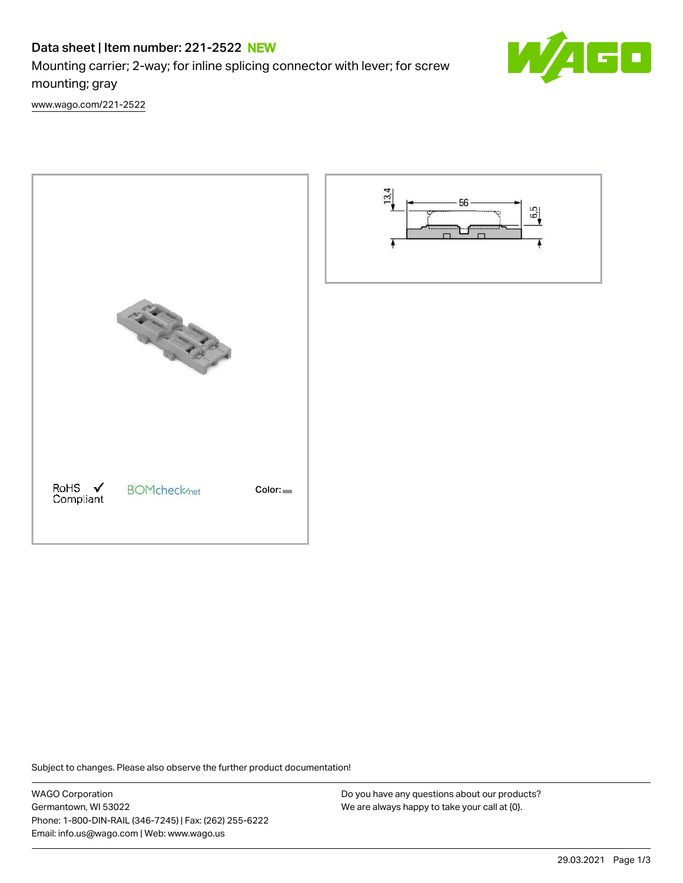# Data sheet | Item number: 221-2522 NEW

[www.wago.com/221-2522](http://www.wago.com/221-2522)

Mounting carrier; 2-way; for inline splicing connector with lever; for screw mounting; gray

O

PARTIES AND RoHS ✔<br>Compliant **BOMcheck**/net Color:



Subject to changes. Please also observe the further product documentation!

WAGO Corporation Germantown, WI 53022 Phone: 1-800-DIN-RAIL (346-7245) | Fax: (262) 255-6222 Email: info.us@wago.com | Web: www.wago.us

Do you have any questions about our products? We are always happy to take your call at {0}.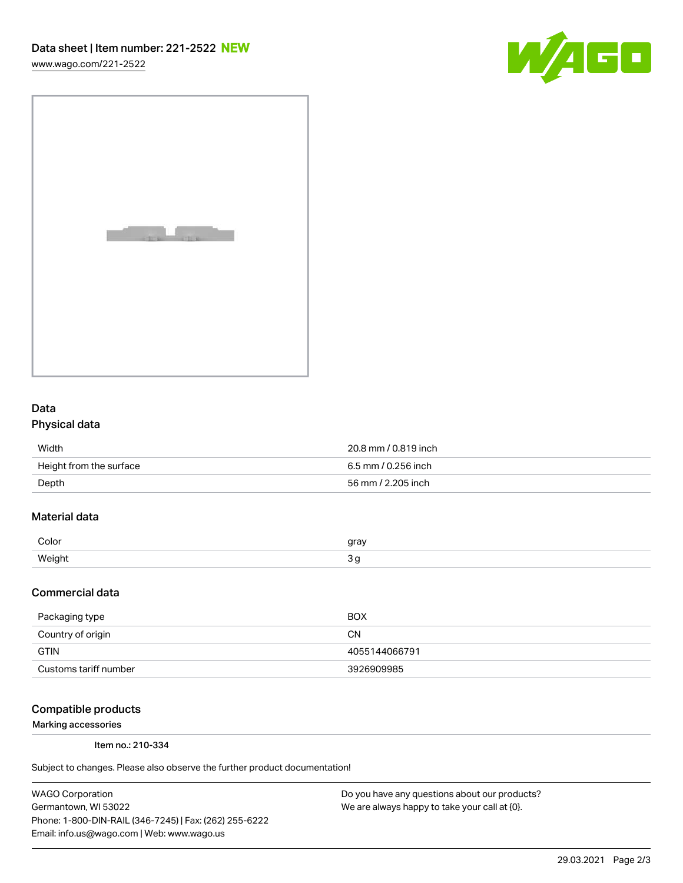[www.wago.com/221-2522](http://www.wago.com/221-2522)





## Data Physical data

| Width                   | 20.8 mm / 0.819 inch |
|-------------------------|----------------------|
| Height from the surface | 6.5 mm / 0.256 inch  |
| Depth                   | 56 mm / 2.205 inch   |

# Material data

| Color     | rr01 |
|-----------|------|
| Moint<br> |      |

#### Commercial data

| Packaging type        | <b>BOX</b>    |
|-----------------------|---------------|
| Country of origin     | CΝ            |
| <b>GTIN</b>           | 4055144066791 |
| Customs tariff number | 3926909985    |

### Compatible products

Marking accessories

Item no.: 210-334

Subject to changes. Please also observe the further product documentation!

WAGO Corporation Germantown, WI 53022 Phone: 1-800-DIN-RAIL (346-7245) | Fax: (262) 255-6222 Email: info.us@wago.com | Web: www.wago.us

Do you have any questions about our products? We are always happy to take your call at {0}.